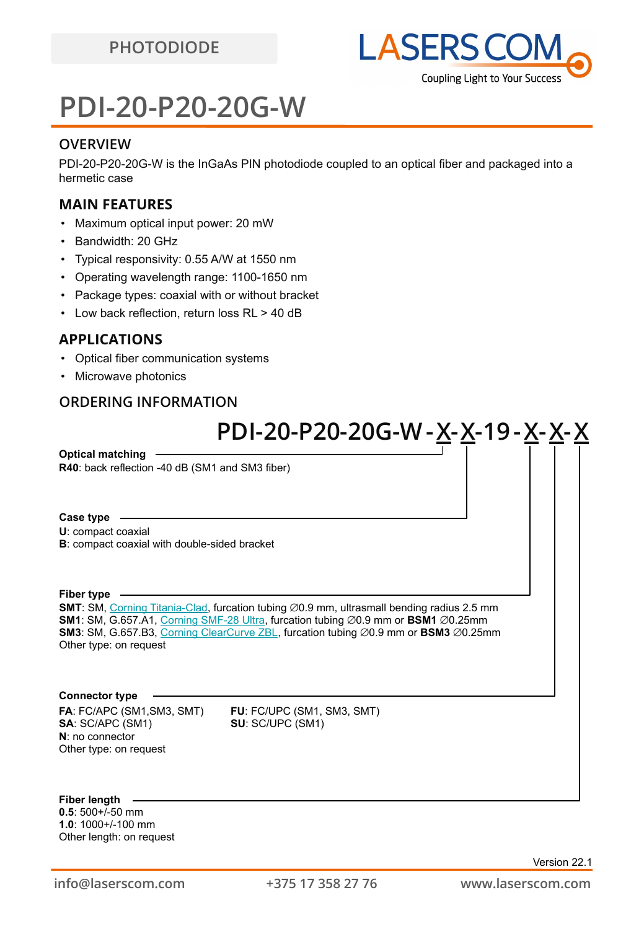## **PDI-20-P20-20G-W**

### **OVERVIEW**

PDI-20-P20-20G-W is the InGaAs PIN photodiode coupled to an optical fiber and packaged into a hermetic case

### **MAIN FEATURES**

- Maximum optical input power: 20 mW
- Bandwidth: 20 GHz
- Typical responsivity: 0.55 A/W at 1550 nm
- Operating wavelength range: 1100-1650 nm
- Package types: coaxial with or without bracket
- Low back reflection, return loss RL > 40 dB

### **APPLICATIONS**

- Optical fiber communication systems
- Microwave photonics

### **ORDERING INFORMATION**

## **PDI-20-P20-20G-W-X-X-19-X-X-X**

**R40**: back reflection -40 dB (SM1 and SM3 fiber) **Optical matching**

#### **Case type**

**U**: compact coaxial

**B**: compact coaxial with double-sided bracket

#### **Fiber type**

**SMT**: SM, [Corning Titania-Clad](https://drive.google.com/file/d/1TO0m3OXi7mFR9VPvdg1AdosSirg8iwtN/view?usp=sharing), furcation tubing ∅0.9 mm, ultrasmall bending radius 2.5 mm **SM1**: SM, G.657.A1, [Corning SMF-28 Ultra](https://drive.google.com/file/d/1JeMdVLHUIGFdzKdBnzaeOmjsa81S284f/view?usp=sharing), furcation tubing ⌀0.9 mm or **BSM1** ⌀0.25mm **SM3**: SM, G.657.B3, [Corning ClearCurve ZBL](https://drive.google.com/file/d/1BnScs4F0ApGayHF4MQJvm8phLaEPHUV0/view?usp=sharing), furcation tubing ⌀0.9 mm or **BSM3** ⌀0.25mm Other type: on request

#### **Connector type**

**FA**: FC/APC (SM1,SM3, SMT) **FU**: FC/UPC (SM1, SM3, SMT) **SA**: SC/APC (SM1) **SU**: SC/UPC (SM1) **N**: no connector Other type: on request

**Fiber length**

**0.5**: 500+/-50 mm **1.0**: 1000+/-100 mm Other length: on request

Version 22.1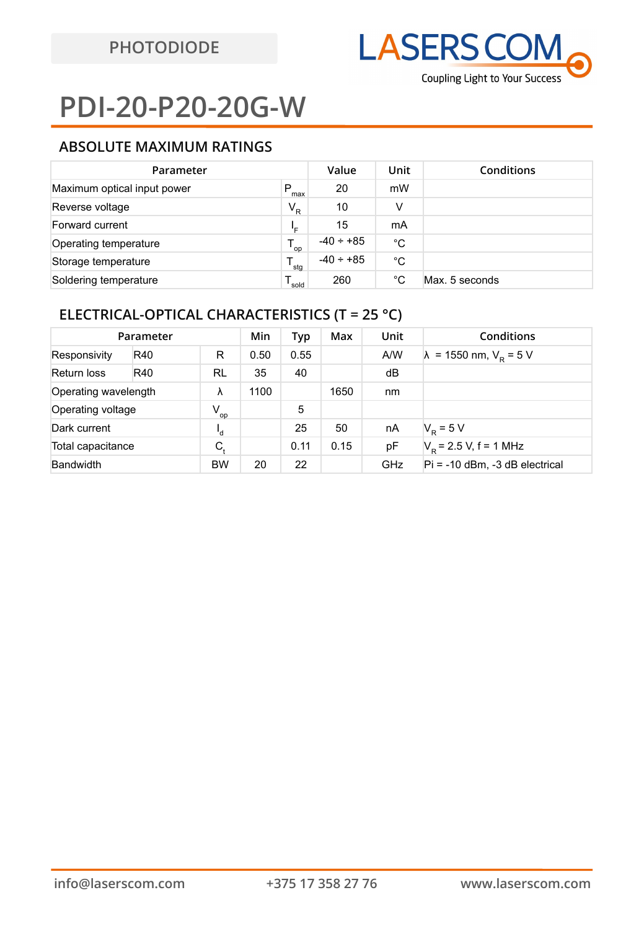# **PDI-20-P20-20G-W**

## **ABSOLUTE MAXIMUM RATINGS**

| Parameter                   | Value            | Unit           | Conditions |                |
|-----------------------------|------------------|----------------|------------|----------------|
| Maximum optical input power | P<br>max         | 20             | mW         |                |
| Reverse voltage             | $V_R$            | 10             | v          |                |
| Forward current             | ╹╒               | 15             | mA         |                |
| Operating temperature       | op               | $-40 \div +85$ | °C         |                |
| Storage temperature         | $^{\bullet}$ stg | $-40 \div +85$ | °C         |                |
| Soldering temperature       | sold             | 260            | °C         | Max. 5 seconds |

## **ELECTRICAL-OPTICAL CHARACTERISTICS (T = 25 °C)**

| Parameter            |     | Min         | Typ  | Max  | Unit | Conditions |                                        |
|----------------------|-----|-------------|------|------|------|------------|----------------------------------------|
| Responsivity         | R40 | R           | 0.50 | 0.55 |      | A/W        | $\lambda$ = 1550 nm, $V_{\rm R}$ = 5 V |
| Return loss          | R40 | <b>RL</b>   | 35   | 40   |      | dB         |                                        |
| Operating wavelength |     | λ           | 1100 |      | 1650 | nm         |                                        |
| Operating voltage    |     | $V_{op}$    |      | 5    |      |            |                                        |
| Dark current         |     | ι,          |      | 25   | 50   | nA         | $V_{\rm p} = 5 V$                      |
| Total capacitance    |     | $C_{\rm t}$ |      | 0.11 | 0.15 | рF         | $V_p$ = 2.5 V, f = 1 MHz               |
| <b>Bandwidth</b>     |     | <b>BW</b>   | 20   | 22   |      | <b>GHz</b> | $Pi = -10$ dBm, $-3$ dB electrical     |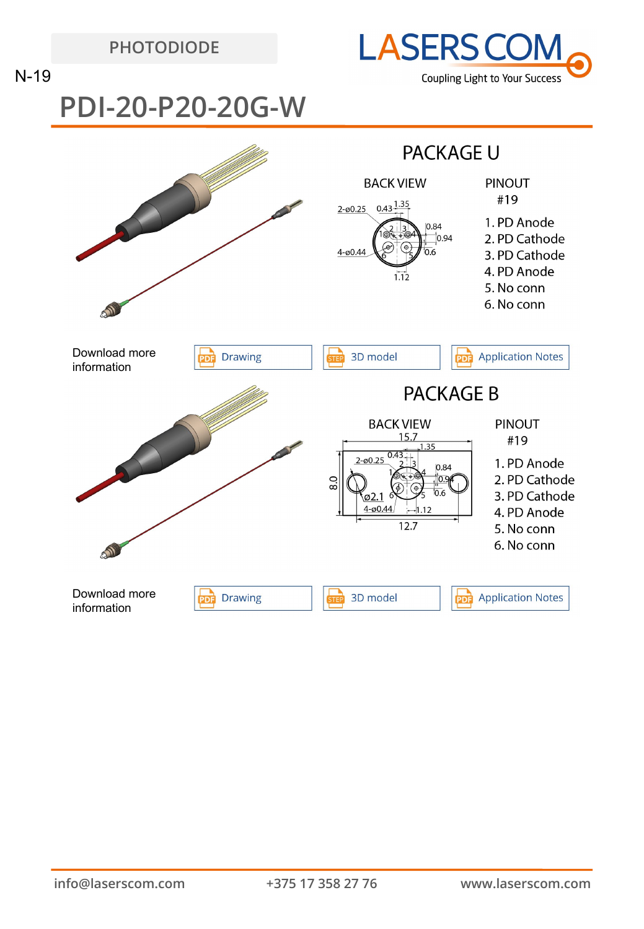**PHOTODIODE**



N-19

# **PDI-20-P20-20G-W**